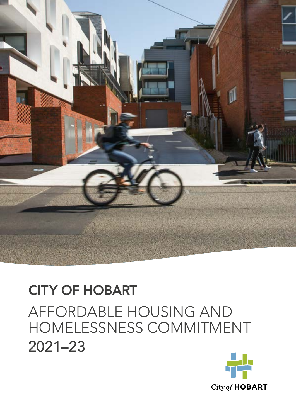

# CITY OF HOBART

# AFFORDABLE HOUSING AND HOMELESSNESS COMMITMENT 2021–23

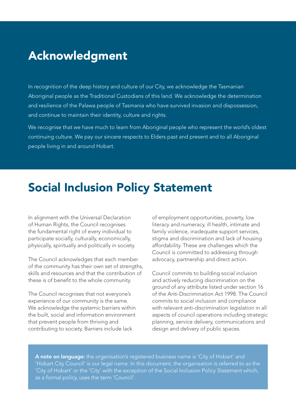## Acknowledgment

In recognition of the deep history and culture of our City, we acknowledge the Tasmanian Aboriginal people as the Traditional Custodians of this land. We acknowledge the determination and resilience of the Palawa people of Tasmania who have survived invasion and dispossession, and continue to maintain their identity, culture and rights.

We recognise that we have much to learn from Aboriginal people who represent the world's oldest continuing culture. We pay our sincere respects to Elders past and present and to all Aboriginal people living in and around Hobart.

## Social Inclusion Policy Statement

In alignment with the Universal Declaration of Human Rights, the Council recognises the fundamental right of every individual to participate socially, culturally, economically, physically, spiritually and politically in society.

The Council acknowledges that each member of the community has their own set of strengths, skills and resources and that the contribution of these is of benefit to the whole community.

The Council recognises that not everyone's experience of our community is the same. We acknowledge the systemic barriers within the built, social and information environment that prevent people from thriving and contributing to society. Barriers include lack

of employment opportunities, poverty, low literacy and numeracy, ill health, intimate and family violence, inadequate support services, stigma and discrimination and lack of housing affordability. These are challenges which the Council is committed to addressing through advocacy, partnership and direct action.

Council commits to building social inclusion and actively reducing discrimination on the ground of any attribute listed under section 16 of the Anti-Discrimination Act 1998. The Council commits to social inclusion and compliance with relevant anti-discrimination legislation in all aspects of council operations including strategic planning, service delivery, communications and design and delivery of public spaces.

A note on language: the organisation's registered business name is 'City of Hobart' and 'Hobart City Council' is our legal name. In this document, the organisation is referred to as the 'City of Hobart' or the 'City' with the exception of the Social Inclusion Policy Statement which, as a formal policy, uses the term 'Council'.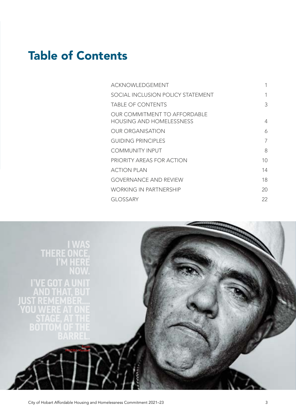## Table of Contents

| 1  |
|----|
| 1  |
| 3  |
| 4  |
| 6  |
| 7  |
| 8  |
| 10 |
| 14 |
| 18 |
| 20 |
| 22 |
|    |

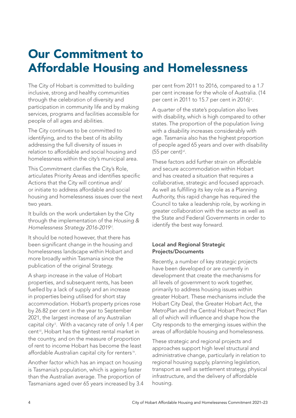## Our Commitment to Affordable Housing and Homelessness

The City of Hobart is committed to building inclusive, strong and healthy communities through the celebration of diversity and participation in community life and by making services, programs and facilities accessible for people of all ages and abilities.

The City continues to be committed to identifying, and to the best of its ability addressing the full diversity of issues in relation to affordable and social housing and homelessness within the city's municipal area.

This Commitment clarifies the City's Role, articulates Priority Areas and identifies specific Actions that the City will continue and/ or initiate to address affordable and social housing and homelessness issues over the next two years.

It builds on the work undertaken by the City through the implementation of the *Housing & Homelessness Strategy 2016-2019 i* .

It should be noted however, that there has been significant change in the housing and homelessness landscape within Hobart and more broadly within Tasmania since the publication of the original Strategy.

A sharp increase in the value of Hobart properties, and subsequent rents, has been fuelled by a lack of supply and an increase in properties being utilised for short stay accommodation. Hobart's property prices rose by 26.82 per cent in the year to September 2021, the largest increase of any Australian capital city<sup>ii</sup>. With a vacancy rate of only 1.4 per cent<sup>iii</sup>, Hobart has the tightest rental market in the country, and on the measure of proportion of rent to income Hobart has become the least affordable Australian capital city for renters<sup>iv</sup>.

Another factor which has an impact on housing is Tasmania's population, which is ageing faster than the Australian average. The proportion of Tasmanians aged over 65 years increased by 3.4 per cent from 2011 to 2016, compared to a 1.7 per cent increase for the whole of Australia. (14 per cent in 2011 to 15.7 per cent in 2016)<sup>v</sup>.

A quarter of the state's population also lives with disability, which is high compared to other states. The proportion of the population living with a disability increases considerably with age. Tasmania also has the highest proportion of people aged 65 years and over with disability (55 per cent) $vi$ .

These factors add further strain on affordable and secure accommodation within Hobart and has created a situation that requires a collaborative, strategic and focused approach. As well as fulfilling its key role as a Planning Authority, this rapid change has required the Council to take a leadership role, by working in greater collaboration with the sector as well as the State and Federal Governments in order to identify the best way forward.

## Local and Regional Strategic Projects/Documents

Recently, a number of key strategic projects have been developed or are currently in development that create the mechanisms for all levels of government to work together, primarily to address housing issues within greater Hobart. These mechanisms include the Hobart City Deal, the Greater Hobart Act, the MetroPlan and the Central Hobart Precinct Plan all of which will influence and shape how the City responds to the emerging issues within the areas of affordable housing and homelessness.

These strategic and regional projects and approaches support high level structural and administrative change, particularly in relation to regional housing supply, planning legislation, transport as well as settlement strategy, physical infrastructure, and the delivery of affordable housing.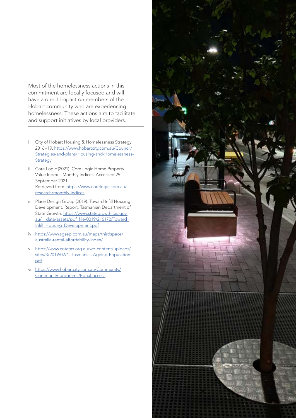Most of the homelessness actions in this commitment are locally focused and will have a direct impact on members of the Hobart community who are experiencing homelessness. These actions aim to facilitate and support initiatives by local providers.

- i City of Hobart Housing & Homelessness Strategy 2016–19. [https://www.hobartcity.com.au/Council/](https://www.hobartcity.com.au/Council/Strategies-and-plans/Housing-and-Homelessness-Strategy) [Strategies-and-plans/Housing-and-Homelessness-](https://www.hobartcity.com.au/Council/Strategies-and-plans/Housing-and-Homelessness-Strategy)**[Strategy](https://www.hobartcity.com.au/Council/Strategies-and-plans/Housing-and-Homelessness-Strategy)**
- ii Core Logic (2021). Core Logic Home Property Value Index – Monthly Indices. Accessed 29 September 2021. Retrieved from: [https://www.corelogic.com.au/](https://www.corelogic.com.au/research/monthly-indices) [research/monthly-indices](https://www.corelogic.com.au/research/monthly-indices)
- iii Place Design Group (2019). Toward Infill Housing Development. Report. Tasmanian Department of State Growth. [https://www.stategrowth.tas.gov.](https://www.stategrowth.tas.gov.au/__data/assets/pdf_file/0019/216172/Toward_Infill_Housing_Development.pdf) au/ data/assets/pdf file/0019/216172/Toward [Infill\\_Housing\\_Development.pdf](https://www.stategrowth.tas.gov.au/__data/assets/pdf_file/0019/216172/Toward_Infill_Housing_Development.pdf)
- iv [https://www.sgsep.com.au/maps/thirdspace/](https://www.sgsep.com.au/maps/thirdspace/australia-rental-affordability-index/) [australia-rental-affordability-index/](https://www.sgsep.com.au/maps/thirdspace/australia-rental-affordability-index/)
- v [https://www.cotatas.org.au/wp-content/uploads/](https://www.cotatas.org.au/wp-content/uploads/sites/3/2019/02/1.-Tasmanias-Ageing-Population.pdf) [sites/3/2019/02/1.-Tasmanias-Ageing-Population.](https://www.cotatas.org.au/wp-content/uploads/sites/3/2019/02/1.-Tasmanias-Ageing-Population.pdf) [pdf](https://www.cotatas.org.au/wp-content/uploads/sites/3/2019/02/1.-Tasmanias-Ageing-Population.pdf)
- vi [https://www.hobartcity.com.au/Community/](https://www.hobartcity.com.au/Community/Community-programs/Equal-access) [Community-programs/Equal-access](https://www.hobartcity.com.au/Community/Community-programs/Equal-access)

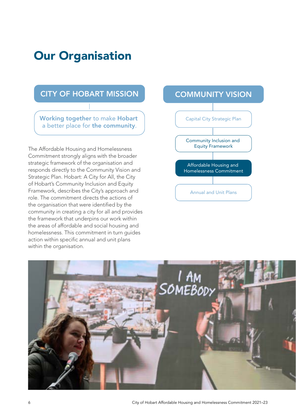## **Our Organisation**

## CITY OF HOBART MISSION

Working together to make Hobart a better place for the community.

The Affordable Housing and Homelessness Commitment strongly aligns with the broader strategic framework of the organisation and responds directly to the Community Vision and Strategic Plan. Hobart: A City for All, the City of Hobart's Community Inclusion and Equity Framework, describes the City's approach and role. The commitment directs the actions of the organisation that were identified by the community in creating a city for all and provides the framework that underpins our work within the areas of affordable and social housing and homelessness. This commitment in turn guides action within specific annual and unit plans within the organisation.

# COMMUNITY VISION Capital City Strategic Plan Annual and Unit Plans Community Inclusion and Equity Framework Affordable Housing and Homelessness Commitment

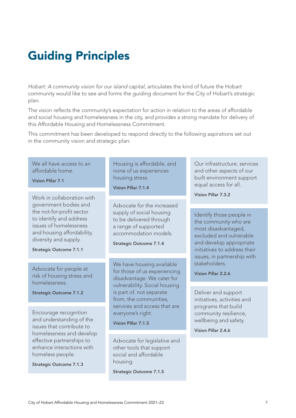## Guiding Principles

*Hobart: A community vision for our island capital*, articulates the kind of future the Hobart community would like to see and forms the guiding document for the City of Hobart's strategic plan.

The vision reflects the community's expectation for action in relation to the areas of affordable and social housing and homelessness in the city, and provides a strong mandate for delivery of this Affordable Housing and Homelessness Commitment.

This commitment has been developed to respond directly to the following aspirations set out in the community vision and strategic plan:

We all have access to an affordable home.

Vision Pillar 7.1

Work in collaboration with government bodies and the not-for-profit sector to identify and address issues of homelessness and housing affordability, diversity and supply.

Strategic Outcome 7.1.1

Advocate for people at risk of housing stress and homelessness.

Strategic Outcome 7.1.2

Encourage recognition and understanding of the issues that contribute to homelessness and develop effective partnerships to enhance interactions with homeless people.

Strategic Outcome 7.1.3

Housing is affordable, and none of us experiences housing stress.

Vision Pillar 7.1.4

Advocate for the increased supply of social housing to be delivered through a range of supported accommodation models.

Strategic Outcome 7.1.4

We have housing available for those of us experiencing disadvantage. We cater for vulnerability. Social housing is part of, not separate from, the communities, services and access that are everyone's right.

Vision Pillar 7.1.5

Advocate for legislative and other tools that support social and affordable housing.

Strategic Outcome 7.1.5

Our infrastructure, services and other aspects of our built environment support equal access for all.

Vision Pillar 7.3.2

Identify those people in the community who are most disadvantaged, excluded and vulnerable and develop appropriate initiatives to address their issues, in partnership with stakeholders.

Vision Pillar 2.2.6

Deliver and support initiatives, activities and programs that build community resilience, wellbeing and safety.

Vision Pillar 2.4.6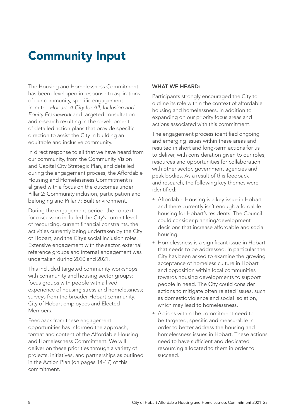## Community Input

The Housing and Homelessness Commitment has been developed in response to aspirations of our community, specific engagement from the *Hobart: A City for All, Inclusion and Equity Framework* and targeted consultation and research resulting in the development of detailed action plans that provide specific direction to assist the City in building an equitable and inclusive community.

In direct response to all that we have heard from our community, from the Community Vision and Capital City Strategic Plan, and detailed during the engagement process, the Affordable Housing and Homelessness Commitment is aligned with a focus on the outcomes under Pillar 2: Community inclusion, participation and belonging and Pillar 7: Built environment.

During the engagement period, the context for discussion included the City's current level of resourcing, current financial constraints, the activities currently being undertaken by the City of Hobart, and the City's social inclusion roles. Extensive engagement with the sector, external reference groups and internal engagement was undertaken during 2020 and 2021.

This included targeted community workshops with community and housing sector groups; focus groups with people with a lived experience of housing stress and homelessness; surveys from the broader Hobart community; City of Hobart employees and Elected Members.

Feedback from these engagement opportunities has informed the approach, format and content of the Affordable Housing and Homelessness Commitment. We will deliver on these priorities through a variety of projects, initiatives, and partnerships as outlined in the Action Plan (on pages 14-17) of this commitment.

### WHAT WE HEARD:

Participants strongly encouraged the City to outline its role within the context of affordable housing and homelessness, in addition to expanding on our priority focus areas and actions associated with this commitment.

The engagement process identified ongoing and emerging issues within these areas and resulted in short and long-term actions for us to deliver, with consideration given to our roles, resources and opportunities for collaboration with other sector, government agencies and peak bodies. As a result of this feedback and research, the following key themes were identified:

- Affordable Housing is a key issue in Hobart and there currently isn't enough affordable housing for Hobart's residents. The Council could consider planning/development decisions that increase affordable and social housing.
- Homelessness is a significant issue in Hobart that needs to be addressed. In particular the City has been asked to examine the growing acceptance of homeless culture in Hobart and opposition within local communities towards housing developments to support people in need. The City could consider actions to mitigate often related issues, such as domestic violence and social isolation, which may lead to homelessness.
- Actions within the commitment need to be targeted, specific and measurable in order to better address the housing and homelessness issues in Hobart. These actions need to have sufficient and dedicated resourcing allocated to them in order to succeed.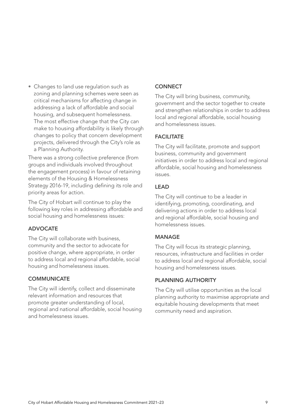• Changes to land use regulation such as zoning and planning schemes were seen as critical mechanisms for affecting change in addressing a lack of affordable and social housing, and subsequent homelessness. The most effective change that the City can make to housing affordability is likely through changes to policy that concern development projects, delivered through the City's role as a Planning Authority.

There was a strong collective preference (from groups and individuals involved throughout the engagement process) in favour of retaining elements of the Housing & Homelessness Strategy 2016-19, including defining its role and priority areas for action.

The City of Hobart will continue to play the following key roles in addressing affordable and social housing and homelessness issues:

## ADVOCATE

The City will collaborate with business, community and the sector to advocate for positive change, where appropriate, in order to address local and regional affordable, social housing and homelessness issues.

## **COMMUNICATE**

The City will identify, collect and disseminate relevant information and resources that promote greater understanding of local, regional and national affordable, social housing and homelessness issues.

### **CONNECT**

The City will bring business, community, government and the sector together to create and strengthen relationships in order to address local and regional affordable, social housing and homelessness issues.

## **FACILITATE**

The City will facilitate, promote and support business, community and government initiatives in order to address local and regional affordable, social housing and homelessness issues.

## LEAD

The City will continue to be a leader in identifying, promoting, coordinating, and delivering actions in order to address local and regional affordable, social housing and homelessness issues.

### MANAGE

The City will focus its strategic planning, resources, infrastructure and facilities in order to address local and regional affordable, social housing and homelessness issues.

### PLANNING AUTHORITY

The City will utilise opportunities as the local planning authority to maximise appropriate and equitable housing developments that meet community need and aspiration.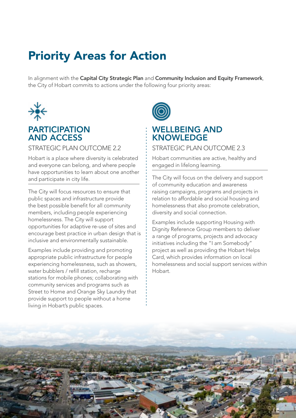## Priority Areas for Action

In alignment with the Capital City Strategic Plan and Community Inclusion and Equity Framework, the City of Hobart commits to actions under the following four priority areas:



## **PARTICIPATION** AND ACCESS

## STRATEGIC PLAN OUTCOME 2.2

Hobart is a place where diversity is celebrated and everyone can belong, and where people have opportunities to learn about one another and participate in city life.

The City will focus resources to ensure that public spaces and infrastructure provide the best possible benefit for all community members, including people experiencing homelessness. The City will support opportunities for adaptive re-use of sites and encourage best practice in urban design that is inclusive and environmentally sustainable.

Examples include providing and promoting appropriate public infrastructure for people experiencing homelessness, such as showers, water bubblers / refill station, recharge stations for mobile phones; collaborating with community services and programs such as Street to Home and Orange Sky Laundry that provide support to people without a home living in Hobart's public spaces.



## WELLBEING AND KNOWLEDGE

STRATEGIC PLAN OUTCOME 2.3

Hobart communities are active, healthy and engaged in lifelong learning.

The City will focus on the delivery and support of community education and awareness raising campaigns, programs and projects in relation to affordable and social housing and homelessness that also promote celebration, diversity and social connection.

Examples include supporting Housing with Dignity Reference Group members to deliver a range of programs, projects and advocacy initiatives including the "I am Somebody" project as well as providing the Hobart Helps Card, which provides information on local homelessness and social support services within Hobart.

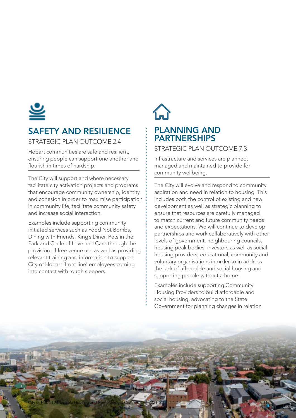

## SAFETY AND RESILIENCE

STRATEGIC PLAN OUTCOME 2.4

Hobart communities are safe and resilient, ensuring people can support one another and flourish in times of hardship.

The City will support and where necessary facilitate city activation projects and programs that encourage community ownership, identity and cohesion in order to maximise participation in community life, facilitate community safety and increase social interaction.

Examples include supporting community initiated services such as Food Not Bombs, Dining with Friends, King's Diner, Pets in the Park and Circle of Love and Care through the provision of free venue use as well as providing relevant training and information to support City of Hobart 'front line' employees coming into contact with rough sleepers.



## PLANNING AND PARTNERSHIPS

STRATEGIC PLAN OUTCOME 7.3

Infrastructure and services are planned, managed and maintained to provide for community wellbeing.

The City will evolve and respond to community aspiration and need in relation to housing. This includes both the control of existing and new development as well as strategic planning to ensure that resources are carefully managed to match current and future community needs and expectations. We will continue to develop partnerships and work collaboratively with other levels of government, neighbouring councils, housing peak bodies, investors as well as social housing providers, educational, community and voluntary organisations in order to in address the lack of affordable and social housing and supporting people without a home.

Examples include supporting Community Housing Providers to build affordable and social housing, advocating to the State Government for planning changes in relation

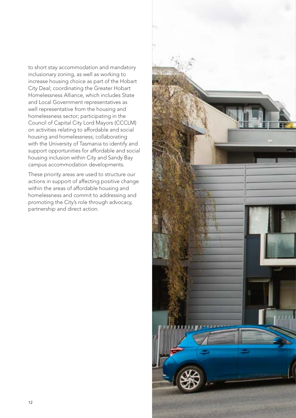with the University of Tasmania to identify and support opportunities for affordable and social housing inclusion within City and Sandy Bay campus accommodation developments. to short stay accommodation and mandatory inclusionary zoning, as well as working to increase housing choice as part of the Hobart City Deal; coordinating the Greater Hobart Homelessness Alliance, which includes State and Local Government representatives as well representative from the housing and homelessness sector; participating in the Council of Capital City Lord Mayors (CCCLM) on activities relating to affordable and social housing and homelessness; collaborating

These priority areas are used to structure our actions in support of affecting positive change within the areas of affordable housing and homelessness and commit to addressing and promoting the City's role through advocacy, partnership and direct action.

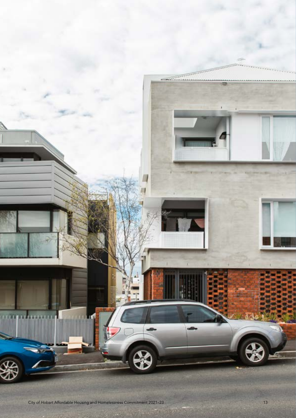

City of Hobart Affordable Housing and Homelessness Commitment 2021–23 13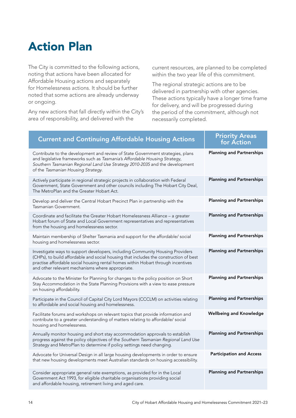## Action Plan

The City is committed to the following actions, noting that actions have been allocated for Affordable Housing actions and separately for Homelessness actions. It should be further noted that some actions are already underway or ongoing.

Any new actions that fall directly within the City's area of responsibility, and delivered with the

current resources, are planned to be completed within the two year life of this commitment.

The regional strategic actions are to be delivered in partnership with other agencies. These actions typically have a longer time frame for delivery, and will be progressed during the period of the commitment, although not necessarily completed.

| <b>Current and Continuing Affordable Housing Actions</b>                                                                                                                                                                                                                                                       | <b>Priority Areas</b><br>for Action |
|----------------------------------------------------------------------------------------------------------------------------------------------------------------------------------------------------------------------------------------------------------------------------------------------------------------|-------------------------------------|
| Contribute to the development and review of State Government strategies, plans<br>and legislative frameworks such as Tasmania's Affordable Housing Strategy,<br>Southern Tasmanian Regional Land Use Strategy 2010-2035 and the development<br>of the Tasmanian Housing Strategy.                              | <b>Planning and Partnerships</b>    |
| Actively participate in regional strategic projects in collaboration with Federal<br>Government, State Government and other councils including The Hobart City Deal,<br>The MetroPlan and the Greater Hobart Act.                                                                                              | <b>Planning and Partnerships</b>    |
| Develop and deliver the Central Hobart Precinct Plan in partnership with the<br>Tasmanian Government.                                                                                                                                                                                                          | <b>Planning and Partnerships</b>    |
| Coordinate and facilitate the Greater Hobart Homelessness Alliance - a greater<br>Hobart forum of State and Local Government representatives and representatives<br>from the housing and homelessness sector.                                                                                                  | <b>Planning and Partnerships</b>    |
| Maintain membership of Shelter Tasmania and support for the affordable/ social<br>housing and homelessness sector.                                                                                                                                                                                             | <b>Planning and Partnerships</b>    |
| Investigate ways to support developers, including Community Housing Providers<br>(CHPs), to build affordable and social housing that includes the construction of best<br>practise affordable social housing rental homes within Hobart through incentives<br>and other relevant mechanisms where appropriate. | <b>Planning and Partnerships</b>    |
| Advocate to the Minister for Planning for changes to the policy position on Short<br>Stay Accommodation in the State Planning Provisions with a view to ease pressure<br>on housing affordability.                                                                                                             | <b>Planning and Partnerships</b>    |
| Participate in the Council of Capital City Lord Mayors (CCCLM) on activities relating<br>to affordable and social housing and homelessness.                                                                                                                                                                    | <b>Planning and Partnerships</b>    |
| Facilitate forums and workshops on relevant topics that provide information and<br>contribute to a greater understanding of matters relating to affordable/ social<br>housing and homelessness.                                                                                                                | <b>Wellbeing and Knowledge</b>      |
| Annually monitor housing and short stay accommodation approvals to establish<br>progress against the policy objectives of the Southern Tasmanian Regional Land Use<br>Strategy and MetroPlan to determine if policy settings need changing.                                                                    | <b>Planning and Partnerships</b>    |
| Advocate for Universal Design in all large housing developments in order to ensure<br>that new housing developments meet Australian standards on housing accessibility.                                                                                                                                        | <b>Participation and Access</b>     |
| Consider appropriate general rate exemptions, as provided for in the Local<br>Government Act 1993, for eligible charitable organisations providing social<br>and affordable housing, retirement living and aged care.                                                                                          | <b>Planning and Partnerships</b>    |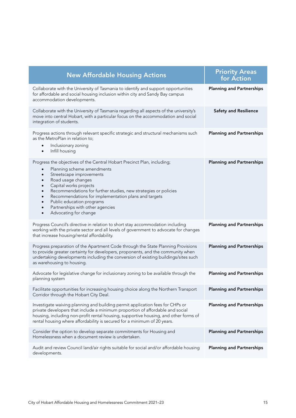| <b>New Affordable Housing Actions</b>                                                                                                                                                                                                                                                                                                                                                                                                                                                                          | <b>Priority Areas</b><br>for Action |
|----------------------------------------------------------------------------------------------------------------------------------------------------------------------------------------------------------------------------------------------------------------------------------------------------------------------------------------------------------------------------------------------------------------------------------------------------------------------------------------------------------------|-------------------------------------|
| Collaborate with the University of Tasmania to identify and support opportunities<br>for affordable and social housing inclusion within city and Sandy Bay campus<br>accommodation developments.                                                                                                                                                                                                                                                                                                               | <b>Planning and Partnerships</b>    |
| Collaborate with the University of Tasmania regarding all aspects of the university's<br>move into central Hobart, with a particular focus on the accommodation and social<br>integration of students.                                                                                                                                                                                                                                                                                                         | <b>Safety and Resilience</b>        |
| Progress actions through relevant specific strategic and structural mechanisms such<br>as the MetroPlan in relation to;<br>Inclusionary zoning<br>Infill housing<br>$\bullet$                                                                                                                                                                                                                                                                                                                                  | <b>Planning and Partnerships</b>    |
| Progress the objectives of the Central Hobart Precinct Plan, including;<br>Planning scheme amendments<br>Streetscape improvements<br>$\bullet$<br>Road usage changes<br>$\bullet$<br>Capital works projects<br>$\bullet$<br>Recommendations for further studies, new strategies or policies<br>$\bullet$<br>Recommendations for implementation plans and targets<br>$\bullet$<br>Public education programs<br>$\bullet$<br>Partnerships with other agencies<br>$\bullet$<br>Advocating for change<br>$\bullet$ | <b>Planning and Partnerships</b>    |
| Progress Council's directive in relation to short stay accommodation including<br>working with the private sector and all levels of government to advocate for changes<br>that increase housing/rental affordability.                                                                                                                                                                                                                                                                                          | <b>Planning and Partnerships</b>    |
| Progress preparation of the Apartment Code through the State Planning Provisions<br>to provide greater certainty for developers, proponents, and the community when<br>undertaking developments including the conversion of existing buildings/sites such<br>as warehousing to housing.                                                                                                                                                                                                                        | <b>Planning and Partnerships</b>    |
| Advocate for legislative change for inclusionary zoning to be available through the<br>planning system                                                                                                                                                                                                                                                                                                                                                                                                         | <b>Planning and Partnerships</b>    |
| Facilitate opportunities for increasing housing choice along the Northern Transport<br>Corridor through the Hobart City Deal.                                                                                                                                                                                                                                                                                                                                                                                  | <b>Planning and Partnerships</b>    |
| Investigate waiving planning and building permit application fees for CHPs or<br>private developers that include a minimum proportion of affordable and social<br>housing, including non-profit rental housing, supportive housing, and other forms of<br>rental housing where affordability is secured for a minimum of 20 years.                                                                                                                                                                             | <b>Planning and Partnerships</b>    |
| Consider the option to develop separate commitments for Housing and<br>Homelessness when a document review is undertaken.                                                                                                                                                                                                                                                                                                                                                                                      | <b>Planning and Partnerships</b>    |
| Audit and review Council land/air rights suitable for social and/or affordable housing<br>developments.                                                                                                                                                                                                                                                                                                                                                                                                        | <b>Planning and Partnerships</b>    |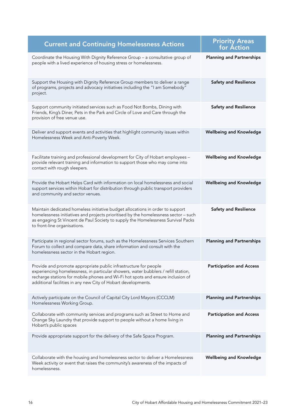| <b>Current and Continuing Homelessness Actions</b>                                                                                                                                                                                                                                                         | <b>Priority Areas</b><br>for Áction |
|------------------------------------------------------------------------------------------------------------------------------------------------------------------------------------------------------------------------------------------------------------------------------------------------------------|-------------------------------------|
| Coordinate the Housing With Dignity Reference Group - a consultative group of<br>people with a lived experience of housing stress or homelessness.                                                                                                                                                         | <b>Planning and Partnerships</b>    |
| Support the Housing with Dignity Reference Group members to deliver a range<br>of programs, projects and advocacy initiatives including the "I am Somebody"<br>project.                                                                                                                                    | <b>Safety and Resilience</b>        |
| Support community initiated services such as Food Not Bombs, Dining with<br>Friends, King's Diner, Pets in the Park and Circle of Love and Care through the<br>provision of free venue use.                                                                                                                | <b>Safety and Resilience</b>        |
| Deliver and support events and activities that highlight community issues within<br>Homelessness Week and Anti-Poverty Week.                                                                                                                                                                               | <b>Wellbeing and Knowledge</b>      |
| Facilitate training and professional development for City of Hobart employees -<br>provide relevant training and information to support those who may come into<br>contact with rough sleepers.                                                                                                            | <b>Wellbeing and Knowledge</b>      |
| Provide the Hobart Helps Card with information on local homelessness and social<br>support services within Hobart for distribution through public transport providers<br>and community and sector venues.                                                                                                  | <b>Wellbeing and Knowledge</b>      |
| Maintain dedicated homeless initiative budget allocations in order to support<br>homelessness initiatives and projects prioritised by the homelessness sector - such<br>as engaging St Vincent de Paul Society to supply the Homelessness Survival Packs<br>to front-line organisations.                   | <b>Safety and Resilience</b>        |
| Participate in regional sector forums, such as the Homelessness Services Southern<br>Forum to collect and compare data, share information and consult with the<br>homelessness sector in the Hobart region.                                                                                                | <b>Planning and Partnerships</b>    |
| Provide and promote appropriate public infrastructure for people<br>experiencing homelessness, in particular showers, water bubblers / refill station,<br>recharge stations for mobile phones and Wi-Fi hot spots and ensure inclusion of<br>additional facilities in any new City of Hobart developments. | <b>Participation and Access</b>     |
| Actively participate on the Council of Capital City Lord Mayors (CCCLM)<br>Homelessness Working Group.                                                                                                                                                                                                     | <b>Planning and Partnerships</b>    |
| Collaborate with community services and programs such as Street to Home and<br>Orange Sky Laundry that provide support to people without a home living in<br>Hobart's public spaces                                                                                                                        | <b>Participation and Access</b>     |
| Provide appropriate support for the delivery of the Safe Space Program.                                                                                                                                                                                                                                    | <b>Planning and Partnerships</b>    |
| Collaborate with the housing and homelessness sector to deliver a Homelessness<br>Week activity or event that raises the community's awareness of the impacts of<br>homelessness.                                                                                                                          | <b>Wellbeing and Knowledge</b>      |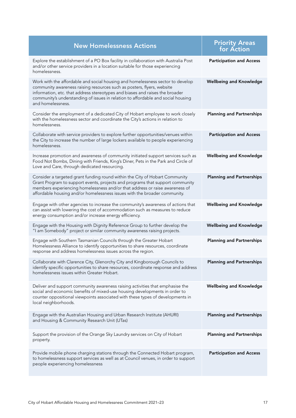| <b>New Homelessness Actions</b>                                                                                                                                                                                                                                                                                                                   | <b>Priority Areas</b><br>for Action |
|---------------------------------------------------------------------------------------------------------------------------------------------------------------------------------------------------------------------------------------------------------------------------------------------------------------------------------------------------|-------------------------------------|
| Explore the establishment of a PO Box facility in collaboration with Australia Post<br>and/or other service providers in a location suitable for those experiencing<br>homelessness.                                                                                                                                                              | <b>Participation and Access</b>     |
| Work with the affordable and social housing and homelessness sector to develop<br>community awareness raising resources such as posters, flyers, website<br>information, etc. that address stereotypes and biases and raises the broader<br>community's understanding of issues in relation to affordable and social housing<br>and homelessness. | <b>Wellbeing and Knowledge</b>      |
| Consider the employment of a dedicated City of Hobart employee to work closely<br>with the homelessness sector and coordinate the City's actions in relation to<br>homelessness.                                                                                                                                                                  | <b>Planning and Partnerships</b>    |
| Collaborate with service providers to explore further opportunities/venues within<br>the City to increase the number of large lockers available to people experiencing<br>homelessness.                                                                                                                                                           | <b>Participation and Access</b>     |
| Increase promotion and awareness of community initiated support services such as<br>Food Not Bombs, Dining with Friends, King's Diner, Pets in the Park and Circle of<br>Love and Care, through dedicated resourcing.                                                                                                                             | <b>Wellbeing and Knowledge</b>      |
| Consider a targeted grant funding round within the City of Hobart Community<br>Grant Program to support events, projects and programs that support community<br>members experiencing homelessness and/or that address or raise awareness of<br>affordable housing and/or homelessness issues with the broader community.                          | <b>Planning and Partnerships</b>    |
| Engage with other agencies to increase the community's awareness of actions that<br>can assist with lowering the cost of accommodation such as measures to reduce<br>energy consumption and/or increase energy efficiency.                                                                                                                        | <b>Wellbeing and Knowledge</b>      |
| Engage with the Housing with Dignity Reference Group to further develop the<br>"I am Somebody" project or similar community awareness raising projects.                                                                                                                                                                                           | <b>Wellbeing and Knowledge</b>      |
| Engage with Southern Tasmanian Councils through the Greater Hobart<br>Homelessness Alliance to identify opportunities to share resources, coordinate<br>response and address homelessness issues across the region.                                                                                                                               | <b>Planning and Partnerships</b>    |
| Collaborate with Clarence City, Glenorchy City and Kingborough Councils to<br>identify specific opportunities to share resources, coordinate response and address<br>homelessness issues within Greater Hobart.                                                                                                                                   | <b>Planning and Partnerships</b>    |
| Deliver and support community awareness raising activities that emphasise the<br>social and economic benefits of mixed-use housing developments in order to<br>counter oppositional viewpoints associated with these types of developments in<br>local neighborhoods.                                                                             | <b>Wellbeing and Knowledge</b>      |
| Engage with the Australian Housing and Urban Research Institute (AHURI)<br>and Housing & Community Research Unit (UTas)                                                                                                                                                                                                                           | <b>Planning and Partnerships</b>    |
| Support the provision of the Orange Sky Laundry services on City of Hobart<br>property.                                                                                                                                                                                                                                                           | <b>Planning and Partnerships</b>    |
| Provide mobile phone charging stations through the Connected Hobart program,<br>to homelessness support services as well as at Council venues, in order to support<br>people experiencing homelessness                                                                                                                                            | <b>Participation and Access</b>     |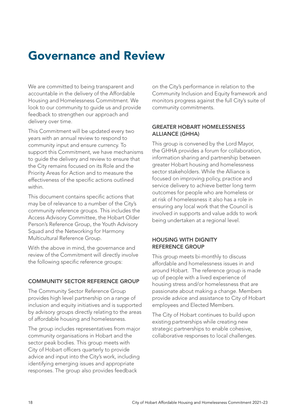## Governance and Review

We are committed to being transparent and accountable in the delivery of the Affordable Housing and Homelessness Commitment. We look to our community to guide us and provide feedback to strengthen our approach and delivery over time.

This Commitment will be updated every two years with an annual review to respond to community input and ensure currency. To support this Commitment, we have mechanisms to guide the delivery and review to ensure that the City remains focused on its Role and the Priority Areas for Action and to measure the effectiveness of the specific actions outlined within.

This document contains specific actions that may be of relevance to a number of the City's community reference groups. This includes the Access Advisory Committee, the Hobart Older Person's Reference Group, the Youth Advisory Squad and the Networking for Harmony Multicultural Reference Group.

With the above in mind, the governance and review of the Commitment will directly involve the following specific reference groups:

## COMMUNITY SECTOR REFERENCE GROUP

The Community Sector Reference Group provides high level partnership on a range of inclusion and equity initiatives and is supported by advisory groups directly relating to the areas of affordable housing and homelessness.

The group includes representatives from major community organisations in Hobart and the sector peak bodies. This group meets with City of Hobart officers quarterly to provide advice and input into the City's work, including identifying emerging issues and appropriate responses. The group also provides feedback

on the City's performance in relation to the Community Inclusion and Equity framework and monitors progress against the full City's suite of community commitments.

## GREATER HOBART HOMELESSNESS ALLIANCE (GHHA)

This group is convened by the Lord Mayor, the GHHA provides a forum for collaboration, information sharing and partnership between greater Hobart housing and homelessness sector stakeholders. While the Alliance is focused on improving policy, practice and service delivery to achieve better long term outcomes for people who are homeless or at risk of homelessness it also has a role in ensuring any local work that the Council is involved in supports and value adds to work being undertaken at a regional level.

## HOUSING WITH DIGNITY REFERENCE GROUP

This group meets bi-monthly to discuss affordable and homelessness issues in and around Hobart. The reference group is made up of people with a lived experience of housing stress and/or homelessness that are passionate about making a change. Members provide advice and assistance to City of Hobart employees and Elected Members.

The City of Hobart continues to build upon existing partnerships while creating new strategic partnerships to enable cohesive, collaborative responses to local challenges.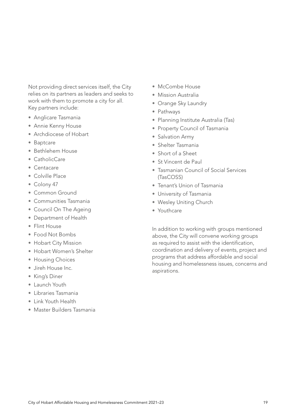Not providing direct services itself, the City relies on its partners as leaders and seeks to work with them to promote a city for all. Key partners include:

- Anglicare Tasmania
- Annie Kenny House
- Archdiocese of Hobart
- Baptcare
- Bethlehem House
- CatholicCare
- Centacare
- Colville Place
- Colony 47
- Common Ground
- Communities Tasmania
- Council On The Ageing
- Department of Health
- Flint House
- Food Not Bombs
- Hobart City Mission
- Hobart Women's Shelter
- Housing Choices
- Jireh House Inc.
- King's Diner
- Launch Youth
- Libraries Tasmania
- Link Youth Health
- Master Builders Tasmania
- McCombe House
- Mission Australia
- Orange Sky Laundry
- Pathways
- Planning Institute Australia (Tas)
- Property Council of Tasmania
- Salvation Army
- Shelter Tasmania
- Short of a Sheet
- St Vincent de Paul
- Tasmanian Council of Social Services (TasCOSS)
- Tenant's Union of Tasmania
- University of Tasmania
- Wesley Uniting Church
- Youthcare

In addition to working with groups mentioned above, the City will convene working groups as required to assist with the identification, coordination and delivery of events, project and programs that address affordable and social housing and homelessness issues, concerns and aspirations.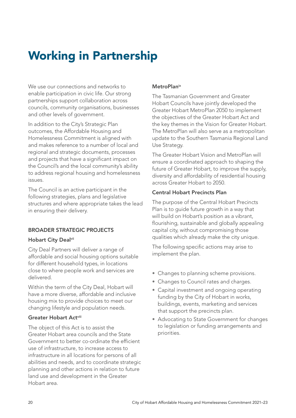## Working in Partnership

We use our connections and networks to enable participation in civic life. Our strong partnerships support collaboration across councils, community organisations, businesses and other levels of government.

In addition to the City's Strategic Plan outcomes, the Affordable Housing and Homelessness Commitment is aligned with and makes reference to a number of local and regional and strategic documents, processes and projects that have a significant impact on the Council's and the local community's ability to address regional housing and homelessness issues.

The Council is an active participant in the following strategies, plans and legislative structures and where appropriate takes the lead in ensuring their delivery.

## BROADER STRATEGIC PROJECTS

### Hobart City Dealvii

City Deal Partners will deliver a range of affordable and social housing options suitable for different household types, in locations close to where people work and services are delivered.

Within the term of the City Deal, Hobart will have a more diverse, affordable and inclusive housing mix to provide choices to meet our changing lifestyle and population needs.

### Greater Hobart Actviii

The object of this Act is to assist the Greater Hobart area councils and the State Government to better co-ordinate the efficient use of infrastructure, to increase access to infrastructure in all locations for persons of all abilities and needs, and to coordinate strategic planning and other actions in relation to future land use and development in the Greater Hobart area.

#### **MetroPlanix**

The Tasmanian Government and Greater Hobart Councils have jointly developed the Greater Hobart MetroPlan 2050 to implement the objectives of the Greater Hobart Act and the key themes in the Vision for Greater Hobart. The MetroPlan will also serve as a metropolitan update to the Southern Tasmania Regional Land Use Strategy.

The Greater Hobart Vision and MetroPlan will ensure a coordinated approach to shaping the future of Greater Hobart, to improve the supply, diversity and affordability of residential housing across Greater Hobart to 2050.

### Central Hobart Precincts Plan

The purpose of the Central Hobart Precincts Plan is to guide future growth in a way that will build on Hobart's position as a vibrant, flourishing, sustainable and globally appealing capital city, without compromising those qualities which already make the city unique.

The following specific actions may arise to implement the plan.

- Changes to planning scheme provisions.
- Changes to Council rates and charges.
- Capital investment and ongoing operating funding by the City of Hobart in works, buildings, events, marketing and services that support the precincts plan.
- Advocating to State Government for changes to legislation or funding arrangements and priorities.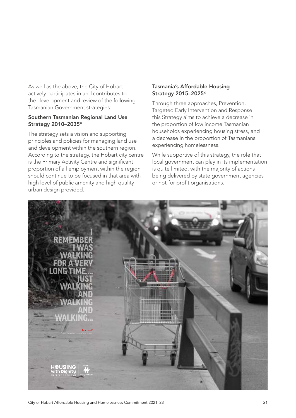As well as the above, the City of Hobart actively participates in and contributes to the development and review of the following Tasmanian Government strategies:

### Southern Tasmanian Regional Land Use Strategy  $2010-2035$ <sup>x</sup>

The strategy sets a vision and supporting principles and policies for managing land use and development within the southern region. According to the strategy, the Hobart city centre is the Primary Activity Centre and significant proportion of all employment within the region should continue to be focused in that area with high level of public amenity and high quality urban design provided.

### Tasmania's Affordable Housing Strategy 2015-2025<sup>xi</sup>

Through three approaches, Prevention, Targeted Early Intervention and Response this Strategy aims to achieve a decrease in the proportion of low income Tasmanian households experiencing housing stress, and a decrease in the proportion of Tasmanians experiencing homelessness.

While supportive of this strategy, the role that local government can play in its implementation is quite limited, with the majority of actions being delivered by state government agencies or not-for-profit organisations.

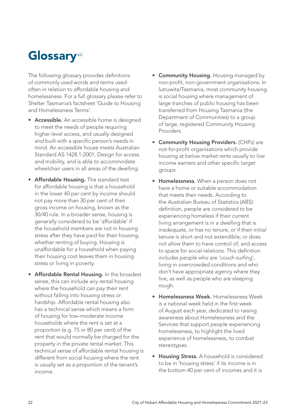## **Glossary**xii

The following glossary provides definitions of commonly used words and terms used often in relation to affordable housing and homelessness. For a full glossary please refer to Shelter Tasmania's factsheet 'Guide to Housing and Homelessness Terms'.

- Accessible. An accessible home is designed to meet the needs of people requiring higher level access, and usually designed and built with a specific person's needs in mind. An accessible house meets Australian Standard AS 1428.1-2001, Design for access and mobility, and is able to accommodate wheelchair users in all areas of the dwelling.
- Affordable Housing. The standard test for affordable housing is that a household in the lower 40 per cent by income should not pay more than 30 per cent of their gross income on housing, known as the 30/40 rule. In a broader sense, housing is generally considered to be 'affordable' if the household members are not in housing stress after they have paid for their housing, whether renting of buying. Housing is unaffordable for a household when paying their housing cost leaves them in housing stress or living in poverty.
- Affordable Rental Housing. In the broadest sense, this can include any rental housing where the household can pay their rent without falling into housing stress or hardship. Affordable rental housing also has a technical sense which means a form of housing for low–moderate income households where the rent is set at a proportion (e.g. 75 or 80 per cent) of the rent that would normally be charged for the property in the private rental market. This technical sense of affordable rental housing is different from social housing where the rent is usually set as a proportion of the tenant's income.
- Community Housing. Housing managed by non-profit, non-government organisations. In lutruwita/Tasmania, most community housing is social housing where management of large tranches of public housing has been transferred from Housing Tasmania (the Department of Communities) to a group of large, registered Community Housing Providers.
- Community Housing Providers. (CHPs) are not-for-profit organisations which provide housing at below market rents usually to low income earners and other specific target groups.
- Homelessness. When a person does not have a home or suitable accommodation that meets their needs. According to the Australian Bureau of Statistics (ABS) definition, people are considered to be experiencing homeless if their current living arrangement is in a dwelling that is inadequate, or has no tenure, or if their initial tenure is short and not extendible; or does not allow them to have control of, and access to space for social relations. This definition includes people who are 'couch surfing', living in overcrowded conditions and who don't have appropriate agency where they live, as well as people who are sleeping rough.
- Homelessness Week. Homelessness Week is a national week held in the first week of August each year, dedicated to raising awareness about Homelessness and the Services that support people experiencing homelessness, to highlight the lived experience of homelessness, to combat stereotypes.
- Housing Stress. A household is considered to be in 'housing stress' if its income is in the bottom 40 per cent of incomes and it is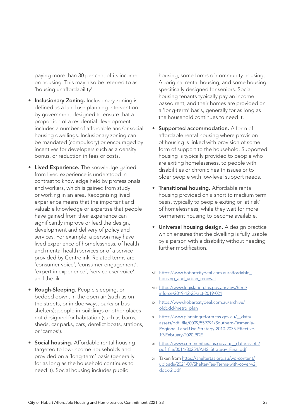paying more than 30 per cent of its income on housing. This may also be referred to as 'housing unaffordability'.

- Inclusionary Zoning. Inclusionary zoning is defined as a land use planning intervention by government designed to ensure that a proportion of a residential development includes a number of affordable and/or social housing dwellings. Inclusionary zoning can be mandated (compulsory) or encouraged by incentives for developers such as a density bonus, or reduction in fees or costs.
- Lived Experience. The knowledge gained from lived experience is understood in contrast to knowledge held by professionals and workers, which is gained from study or working in an area. Recognising lived experience means that the important and valuable knowledge or expertise that people have gained from their experience can significantly improve or lead the design, development and delivery of policy and services. For example, a person may have lived experience of homelessness, of health and mental health services or of a service provided by Centrelink. Related terms are 'consumer voice', 'consumer engagement', 'expert in experience', 'service user voice', and the like.
- Rough-Sleeping. People sleeping, or bedded down, in the open air (such as on the streets, or in doorways, parks or bus shelters); people in buildings or other places not designed for habitation (such as barns, sheds, car parks, cars, derelict boats, stations, or 'camps').
- Social housing. Affordable rental housing targeted to low-income households and provided on a 'long-term' basis (generally for as long as the household continues to need it). Social housing includes public

housing, some forms of community housing, Aboriginal rental housing, and some housing specifically designed for seniors. Social housing tenants typically pay an income based rent, and their homes are provided on a 'long-term' basis, generally for as long as the household continues to need it.

- Supported accommodation. A form of affordable rental housing where provision of housing is linked with provision of some form of support to the household. Supported housing is typically provided to people who are exiting homelessness, to people with disabilities or chronic health issues or to older people with low-level support needs.
- Transitional housing. Affordable rental housing provided on a short to medium term basis, typically to people exiting or 'at risk' of homelessness, while they wait for more permanent housing to become available.
- Universal housing design. A design practice which ensures that the dwelling is fully usable by a person with a disability without needing further modification.
- vii [https://www.hobartcitydeal.com.au/affordable\\_](https://www.hobartcitydeal.com.au/affordable_housing_and_urban_renewal) housing and urban renewal
- viii [https://www.legislation.tas.gov.au/view/html/](https://www.legislation.tas.gov.au/view/html/inforce/2019-12-25/act-2019-021) [inforce/2019-12-25/act-2019-021](https://www.legislation.tas.gov.au/view/html/inforce/2019-12-25/act-2019-021)
- ix [https://www.hobartcitydeal.com.au/archive/](https://www.hobartcitydeal.com.au/archive/oldddd/metro_plan) [oldddd/metro\\_plan](https://www.hobartcitydeal.com.au/archive/oldddd/metro_plan)
- x [https://www.planningreform.tas.gov.au/\\_\\_data/](https://www.planningreform.tas.gov.au/__data/assets/pdf_file/0009/559791/Southern-Tasmania-Regional-) [assets/pdf\\_file/0009/559791/Southern-Tasmania-](https://www.planningreform.tas.gov.au/__data/assets/pdf_file/0009/559791/Southern-Tasmania-Regional-)[Regional-Land-Use-Strategy-2010-2035-Effective-](https://www.planningreform.tas.gov.au/__data/assets/pdf_file/0009/559791/Southern-Tasmania-Regional-)[19-February-2020.PDF](https://www.planningreform.tas.gov.au/__data/assets/pdf_file/0009/559791/Southern-Tasmania-Regional-)
- xi [https://www.communities.tas.gov.au/\\_\\_data/assets/](https://www.communities.tas.gov.au/__data/assets/pdf_file/0014/30254/AHS_Strategy_Final.pdf ) [pdf\\_file/0014/30254/AHS\\_Strategy\\_Final.pdf](https://www.communities.tas.gov.au/__data/assets/pdf_file/0014/30254/AHS_Strategy_Final.pdf )
- xii Taken from [https://sheltertas.org.au/wp-content/](https://sheltertas.org.au/wp-content/uploads/2021/09/Shelter-Tas-Terms-with-cover-v2.docx-2.pdf) [uploads/2021/09/Shelter-Tas-Terms-with-cover-v2.](https://sheltertas.org.au/wp-content/uploads/2021/09/Shelter-Tas-Terms-with-cover-v2.docx-2.pdf) [docx-2.pdf](https://sheltertas.org.au/wp-content/uploads/2021/09/Shelter-Tas-Terms-with-cover-v2.docx-2.pdf)